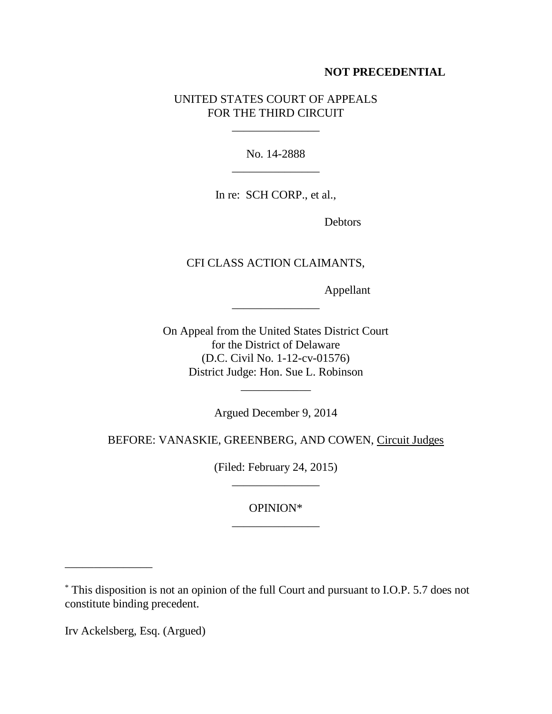## **NOT PRECEDENTIAL**

## UNITED STATES COURT OF APPEALS FOR THE THIRD CIRCUIT

\_\_\_\_\_\_\_\_\_\_\_\_\_\_\_

No. 14-2888 \_\_\_\_\_\_\_\_\_\_\_\_\_\_\_

In re: SCH CORP., et al.,

Debtors

CFI CLASS ACTION CLAIMANTS,

\_\_\_\_\_\_\_\_\_\_\_\_\_\_\_

Appellant

On Appeal from the United States District Court for the District of Delaware (D.C. Civil No. 1-12-cv-01576) District Judge: Hon. Sue L. Robinson

Argued December 9, 2014

\_\_\_\_\_\_\_\_\_\_\_\_

BEFORE: VANASKIE, GREENBERG, AND COWEN, Circuit Judges

(Filed: February 24, 2015) \_\_\_\_\_\_\_\_\_\_\_\_\_\_\_

> OPINION\* \_\_\_\_\_\_\_\_\_\_\_\_\_\_\_

Irv Ackelsberg, Esq. (Argued)

\_\_\_\_\_\_\_\_\_\_\_\_\_\_\_

<sup>\*</sup> This disposition is not an opinion of the full Court and pursuant to I.O.P. 5.7 does not constitute binding precedent.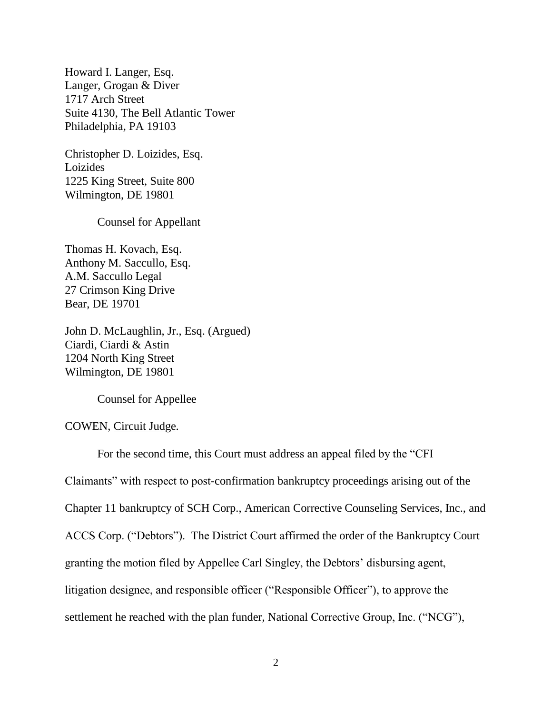Howard I. Langer, Esq. Langer, Grogan & Diver 1717 Arch Street Suite 4130, The Bell Atlantic Tower Philadelphia, PA 19103

Christopher D. Loizides, Esq. Loizides 1225 King Street, Suite 800 Wilmington, DE 19801

Counsel for Appellant

Thomas H. Kovach, Esq. Anthony M. Saccullo, Esq. A.M. Saccullo Legal 27 Crimson King Drive Bear, DE 19701

John D. McLaughlin, Jr., Esq. (Argued) Ciardi, Ciardi & Astin 1204 North King Street Wilmington, DE 19801

Counsel for Appellee

## COWEN, Circuit Judge.

For the second time, this Court must address an appeal filed by the "CFI Claimants" with respect to post-confirmation bankruptcy proceedings arising out of the Chapter 11 bankruptcy of SCH Corp., American Corrective Counseling Services, Inc., and ACCS Corp. ("Debtors"). The District Court affirmed the order of the Bankruptcy Court granting the motion filed by Appellee Carl Singley, the Debtors' disbursing agent, litigation designee, and responsible officer ("Responsible Officer"), to approve the settlement he reached with the plan funder, National Corrective Group, Inc. ("NCG"),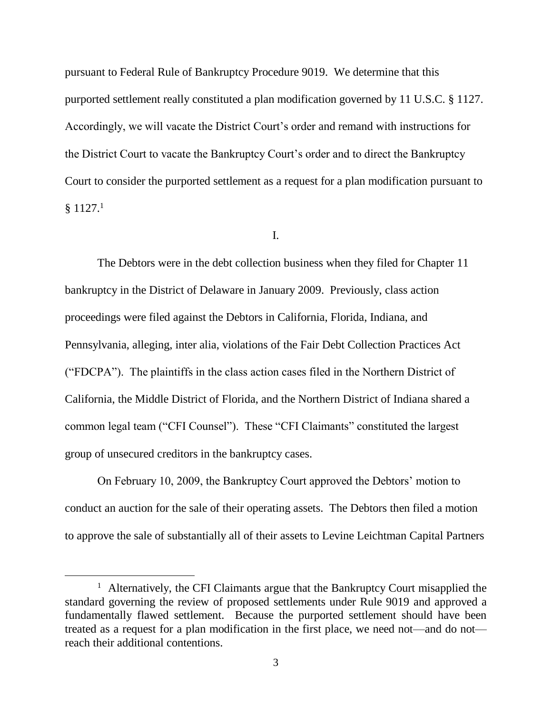pursuant to Federal Rule of Bankruptcy Procedure 9019. We determine that this purported settlement really constituted a plan modification governed by 11 U.S.C. § 1127. Accordingly, we will vacate the District Court's order and remand with instructions for the District Court to vacate the Bankruptcy Court's order and to direct the Bankruptcy Court to consider the purported settlement as a request for a plan modification pursuant to  $§ 1127.<sup>1</sup>$ 

## I.

The Debtors were in the debt collection business when they filed for Chapter 11 bankruptcy in the District of Delaware in January 2009. Previously, class action proceedings were filed against the Debtors in California, Florida, Indiana, and Pennsylvania, alleging, inter alia, violations of the Fair Debt Collection Practices Act ("FDCPA"). The plaintiffs in the class action cases filed in the Northern District of California, the Middle District of Florida, and the Northern District of Indiana shared a common legal team ("CFI Counsel"). These "CFI Claimants" constituted the largest group of unsecured creditors in the bankruptcy cases.

On February 10, 2009, the Bankruptcy Court approved the Debtors' motion to conduct an auction for the sale of their operating assets. The Debtors then filed a motion to approve the sale of substantially all of their assets to Levine Leichtman Capital Partners

<sup>&</sup>lt;sup>1</sup> Alternatively, the CFI Claimants argue that the Bankruptcy Court misapplied the standard governing the review of proposed settlements under Rule 9019 and approved a fundamentally flawed settlement. Because the purported settlement should have been treated as a request for a plan modification in the first place, we need not—and do not reach their additional contentions.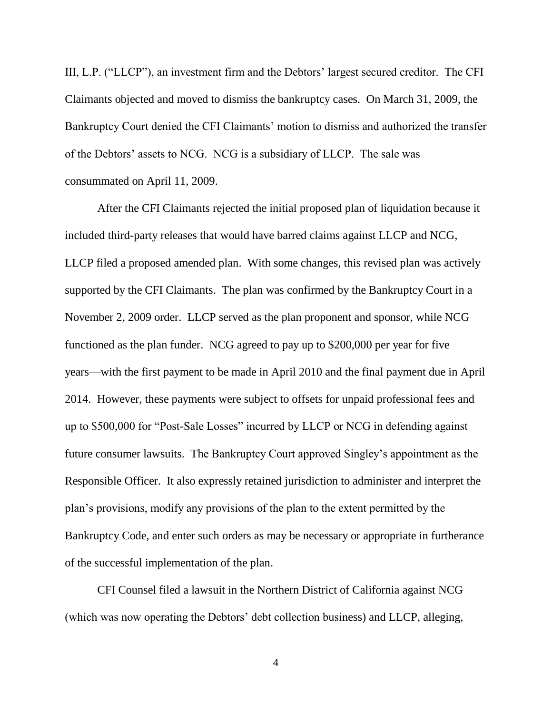III, L.P. ("LLCP"), an investment firm and the Debtors' largest secured creditor. The CFI Claimants objected and moved to dismiss the bankruptcy cases. On March 31, 2009, the Bankruptcy Court denied the CFI Claimants' motion to dismiss and authorized the transfer of the Debtors' assets to NCG. NCG is a subsidiary of LLCP. The sale was consummated on April 11, 2009.

After the CFI Claimants rejected the initial proposed plan of liquidation because it included third-party releases that would have barred claims against LLCP and NCG, LLCP filed a proposed amended plan. With some changes, this revised plan was actively supported by the CFI Claimants. The plan was confirmed by the Bankruptcy Court in a November 2, 2009 order. LLCP served as the plan proponent and sponsor, while NCG functioned as the plan funder. NCG agreed to pay up to \$200,000 per year for five years—with the first payment to be made in April 2010 and the final payment due in April 2014. However, these payments were subject to offsets for unpaid professional fees and up to \$500,000 for "Post-Sale Losses" incurred by LLCP or NCG in defending against future consumer lawsuits. The Bankruptcy Court approved Singley's appointment as the Responsible Officer. It also expressly retained jurisdiction to administer and interpret the plan's provisions, modify any provisions of the plan to the extent permitted by the Bankruptcy Code, and enter such orders as may be necessary or appropriate in furtherance of the successful implementation of the plan.

CFI Counsel filed a lawsuit in the Northern District of California against NCG (which was now operating the Debtors' debt collection business) and LLCP, alleging,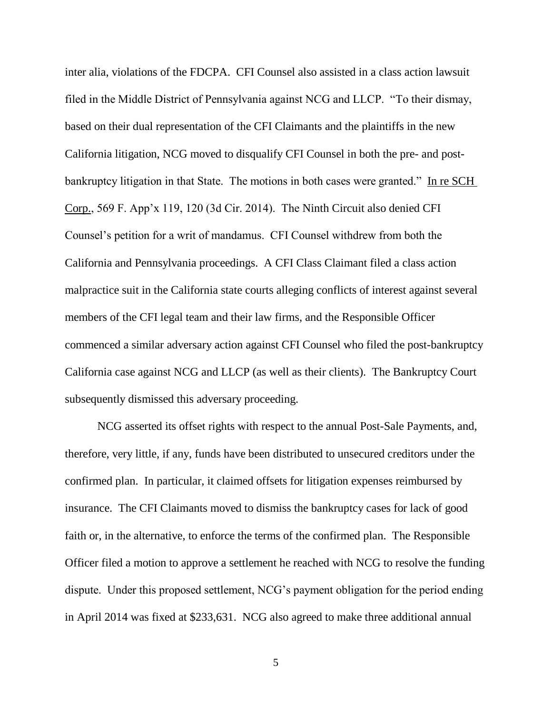inter alia, violations of the FDCPA. CFI Counsel also assisted in a class action lawsuit filed in the Middle District of Pennsylvania against NCG and LLCP. "To their dismay, based on their dual representation of the CFI Claimants and the plaintiffs in the new California litigation, NCG moved to disqualify CFI Counsel in both the pre- and postbankruptcy litigation in that State. The motions in both cases were granted." In re SCH Corp., 569 F. App'x 119, 120 (3d Cir. 2014). The Ninth Circuit also denied CFI Counsel's petition for a writ of mandamus. CFI Counsel withdrew from both the California and Pennsylvania proceedings. A CFI Class Claimant filed a class action malpractice suit in the California state courts alleging conflicts of interest against several members of the CFI legal team and their law firms, and the Responsible Officer commenced a similar adversary action against CFI Counsel who filed the post-bankruptcy California case against NCG and LLCP (as well as their clients). The Bankruptcy Court subsequently dismissed this adversary proceeding.

NCG asserted its offset rights with respect to the annual Post-Sale Payments, and, therefore, very little, if any, funds have been distributed to unsecured creditors under the confirmed plan. In particular, it claimed offsets for litigation expenses reimbursed by insurance. The CFI Claimants moved to dismiss the bankruptcy cases for lack of good faith or, in the alternative, to enforce the terms of the confirmed plan. The Responsible Officer filed a motion to approve a settlement he reached with NCG to resolve the funding dispute. Under this proposed settlement, NCG's payment obligation for the period ending in April 2014 was fixed at \$233,631. NCG also agreed to make three additional annual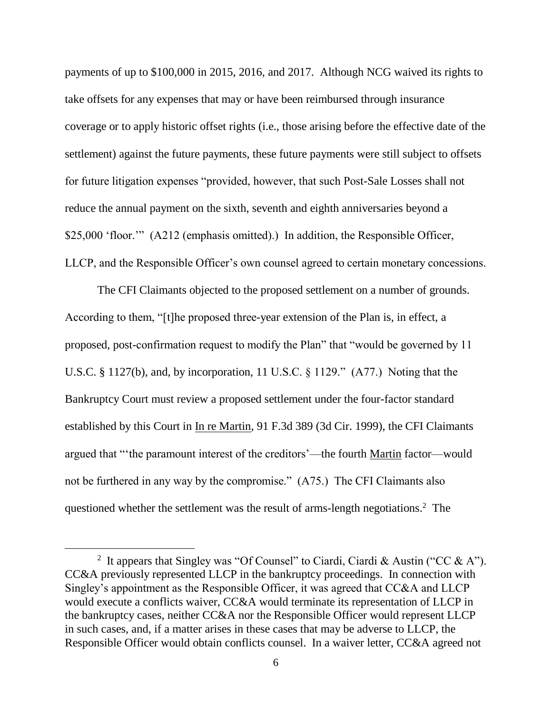payments of up to \$100,000 in 2015, 2016, and 2017. Although NCG waived its rights to take offsets for any expenses that may or have been reimbursed through insurance coverage or to apply historic offset rights (i.e., those arising before the effective date of the settlement) against the future payments, these future payments were still subject to offsets for future litigation expenses "provided, however, that such Post-Sale Losses shall not reduce the annual payment on the sixth, seventh and eighth anniversaries beyond a \$25,000 'floor.'" (A212 (emphasis omitted).) In addition, the Responsible Officer, LLCP, and the Responsible Officer's own counsel agreed to certain monetary concessions.

The CFI Claimants objected to the proposed settlement on a number of grounds. According to them, "[t]he proposed three-year extension of the Plan is, in effect, a proposed, post-confirmation request to modify the Plan" that "would be governed by 11 U.S.C. § 1127(b), and, by incorporation, 11 U.S.C. § 1129." (A77.) Noting that the Bankruptcy Court must review a proposed settlement under the four-factor standard established by this Court in In re Martin, 91 F.3d 389 (3d Cir. 1999), the CFI Claimants argued that "'the paramount interest of the creditors'—the fourth Martin factor—would not be furthered in any way by the compromise." (A75.) The CFI Claimants also questioned whether the settlement was the result of arms-length negotiations.<sup>2</sup> The

<sup>&</sup>lt;sup>2</sup> It appears that Singley was "Of Counsel" to Ciardi, Ciardi & Austin ("CC & A"). CC&A previously represented LLCP in the bankruptcy proceedings. In connection with Singley's appointment as the Responsible Officer, it was agreed that CC&A and LLCP would execute a conflicts waiver, CC&A would terminate its representation of LLCP in the bankruptcy cases, neither CC&A nor the Responsible Officer would represent LLCP in such cases, and, if a matter arises in these cases that may be adverse to LLCP, the Responsible Officer would obtain conflicts counsel. In a waiver letter, CC&A agreed not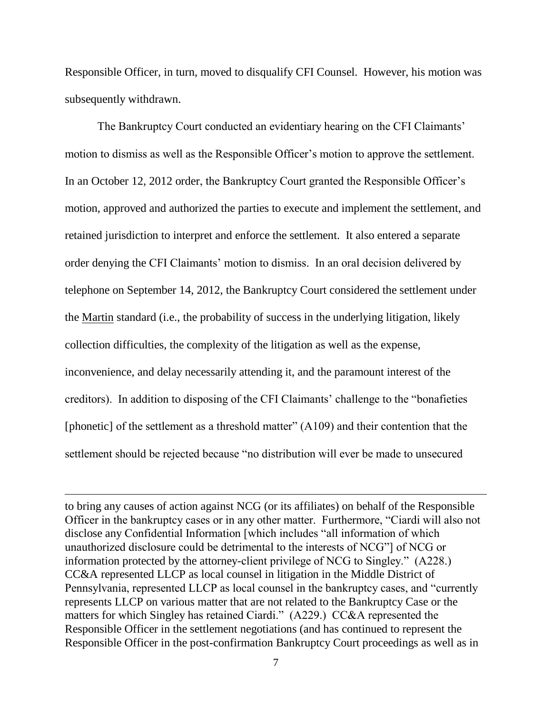Responsible Officer, in turn, moved to disqualify CFI Counsel. However, his motion was subsequently withdrawn.

The Bankruptcy Court conducted an evidentiary hearing on the CFI Claimants' motion to dismiss as well as the Responsible Officer's motion to approve the settlement. In an October 12, 2012 order, the Bankruptcy Court granted the Responsible Officer's motion, approved and authorized the parties to execute and implement the settlement, and retained jurisdiction to interpret and enforce the settlement. It also entered a separate order denying the CFI Claimants' motion to dismiss. In an oral decision delivered by telephone on September 14, 2012, the Bankruptcy Court considered the settlement under the Martin standard (i.e., the probability of success in the underlying litigation, likely collection difficulties, the complexity of the litigation as well as the expense, inconvenience, and delay necessarily attending it, and the paramount interest of the creditors). In addition to disposing of the CFI Claimants' challenge to the "bonafieties [phonetic] of the settlement as a threshold matter" (A109) and their contention that the settlement should be rejected because "no distribution will ever be made to unsecured

to bring any causes of action against NCG (or its affiliates) on behalf of the Responsible Officer in the bankruptcy cases or in any other matter. Furthermore, "Ciardi will also not disclose any Confidential Information [which includes "all information of which unauthorized disclosure could be detrimental to the interests of NCG"] of NCG or information protected by the attorney-client privilege of NCG to Singley." (A228.) CC&A represented LLCP as local counsel in litigation in the Middle District of Pennsylvania, represented LLCP as local counsel in the bankruptcy cases, and "currently represents LLCP on various matter that are not related to the Bankruptcy Case or the matters for which Singley has retained Ciardi." (A229.) CC&A represented the Responsible Officer in the settlement negotiations (and has continued to represent the Responsible Officer in the post-confirmation Bankruptcy Court proceedings as well as in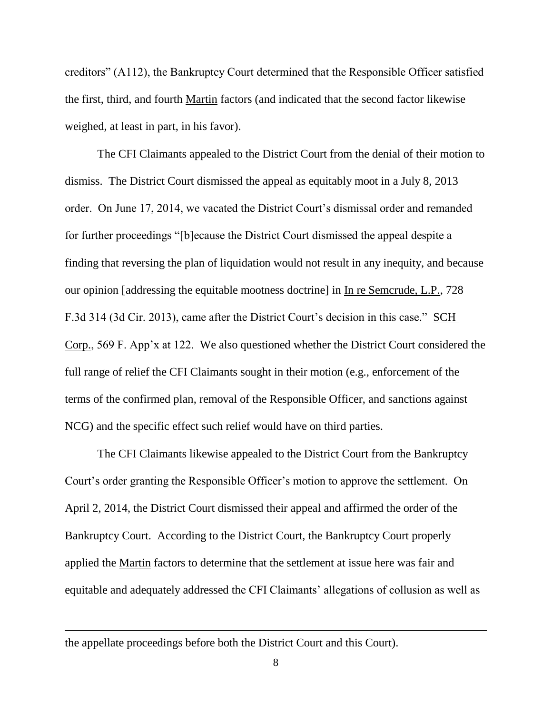creditors" (A112), the Bankruptcy Court determined that the Responsible Officer satisfied the first, third, and fourth Martin factors (and indicated that the second factor likewise weighed, at least in part, in his favor).

The CFI Claimants appealed to the District Court from the denial of their motion to dismiss. The District Court dismissed the appeal as equitably moot in a July 8, 2013 order. On June 17, 2014, we vacated the District Court's dismissal order and remanded for further proceedings "[b]ecause the District Court dismissed the appeal despite a finding that reversing the plan of liquidation would not result in any inequity, and because our opinion [addressing the equitable mootness doctrine] in In re Semcrude, L.P., 728 F.3d 314 (3d Cir. 2013), came after the District Court's decision in this case." SCH Corp., 569 F. App'x at 122. We also questioned whether the District Court considered the full range of relief the CFI Claimants sought in their motion (e.g., enforcement of the terms of the confirmed plan, removal of the Responsible Officer, and sanctions against NCG) and the specific effect such relief would have on third parties.

The CFI Claimants likewise appealed to the District Court from the Bankruptcy Court's order granting the Responsible Officer's motion to approve the settlement. On April 2, 2014, the District Court dismissed their appeal and affirmed the order of the Bankruptcy Court. According to the District Court, the Bankruptcy Court properly applied the Martin factors to determine that the settlement at issue here was fair and equitable and adequately addressed the CFI Claimants' allegations of collusion as well as

the appellate proceedings before both the District Court and this Court).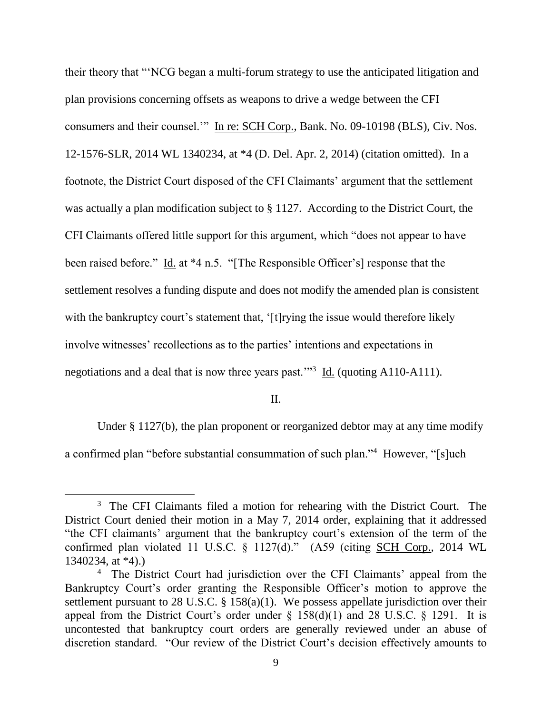their theory that "'NCG began a multi-forum strategy to use the anticipated litigation and plan provisions concerning offsets as weapons to drive a wedge between the CFI consumers and their counsel.'" In re: SCH Corp., Bank. No. 09-10198 (BLS), Civ. Nos. 12-1576-SLR, 2014 WL 1340234, at \*4 (D. Del. Apr. 2, 2014) (citation omitted). In a footnote, the District Court disposed of the CFI Claimants' argument that the settlement was actually a plan modification subject to § 1127. According to the District Court, the CFI Claimants offered little support for this argument, which "does not appear to have been raised before." Id. at \*4 n.5. "[The Responsible Officer's] response that the settlement resolves a funding dispute and does not modify the amended plan is consistent with the bankruptcy court's statement that, '[t]rying the issue would therefore likely involve witnesses' recollections as to the parties' intentions and expectations in negotiations and a deal that is now three years past.<sup>33</sup> Id. (quoting A110-A111).

II.

Under § 1127(b), the plan proponent or reorganized debtor may at any time modify a confirmed plan "before substantial consummation of such plan."<sup>4</sup> However, "[s]uch

<sup>&</sup>lt;sup>3</sup> The CFI Claimants filed a motion for rehearing with the District Court. The District Court denied their motion in a May 7, 2014 order, explaining that it addressed "the CFI claimants' argument that the bankruptcy court's extension of the term of the confirmed plan violated 11 U.S.C. § 1127(d)." (A59 (citing SCH Corp., 2014 WL 1340234, at \*4).)

<sup>&</sup>lt;sup>4</sup> The District Court had jurisdiction over the CFI Claimants' appeal from the Bankruptcy Court's order granting the Responsible Officer's motion to approve the settlement pursuant to 28 U.S.C. § 158(a)(1). We possess appellate jurisdiction over their appeal from the District Court's order under  $\S$  158(d)(1) and 28 U.S.C.  $\S$  1291. It is uncontested that bankruptcy court orders are generally reviewed under an abuse of discretion standard. "Our review of the District Court's decision effectively amounts to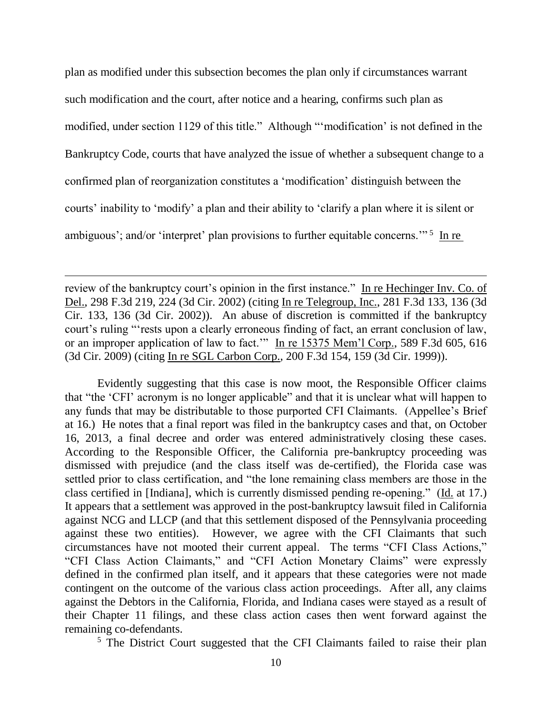plan as modified under this subsection becomes the plan only if circumstances warrant such modification and the court, after notice and a hearing, confirms such plan as modified, under section 1129 of this title." Although "'modification' is not defined in the Bankruptcy Code, courts that have analyzed the issue of whether a subsequent change to a confirmed plan of reorganization constitutes a 'modification' distinguish between the courts' inability to 'modify' a plan and their ability to 'clarify a plan where it is silent or ambiguous'; and/or 'interpret' plan provisions to further equitable concerns."<sup>5</sup> In re

review of the bankruptcy court's opinion in the first instance." In re Hechinger Inv. Co. of Del., 298 F.3d 219, 224 (3d Cir. 2002) (citing In re Telegroup, Inc., 281 F.3d 133, 136 (3d Cir. 133, 136 (3d Cir. 2002)). An abuse of discretion is committed if the bankruptcy court's ruling "'rests upon a clearly erroneous finding of fact, an errant conclusion of law, or an improper application of law to fact.'" In re 15375 Mem'l Corp., 589 F.3d 605, 616 (3d Cir. 2009) (citing In re SGL Carbon Corp., 200 F.3d 154, 159 (3d Cir. 1999)).

Evidently suggesting that this case is now moot, the Responsible Officer claims that "the 'CFI' acronym is no longer applicable" and that it is unclear what will happen to any funds that may be distributable to those purported CFI Claimants. (Appellee's Brief at 16.) He notes that a final report was filed in the bankruptcy cases and that, on October 16, 2013, a final decree and order was entered administratively closing these cases. According to the Responsible Officer, the California pre-bankruptcy proceeding was dismissed with prejudice (and the class itself was de-certified), the Florida case was settled prior to class certification, and "the lone remaining class members are those in the class certified in [Indiana], which is currently dismissed pending re-opening." (Id. at 17.) It appears that a settlement was approved in the post-bankruptcy lawsuit filed in California against NCG and LLCP (and that this settlement disposed of the Pennsylvania proceeding against these two entities). However, we agree with the CFI Claimants that such circumstances have not mooted their current appeal. The terms "CFI Class Actions," "CFI Class Action Claimants," and "CFI Action Monetary Claims" were expressly defined in the confirmed plan itself, and it appears that these categories were not made contingent on the outcome of the various class action proceedings. After all, any claims against the Debtors in the California, Florida, and Indiana cases were stayed as a result of their Chapter 11 filings, and these class action cases then went forward against the remaining co-defendants.

<sup>5</sup> The District Court suggested that the CFI Claimants failed to raise their plan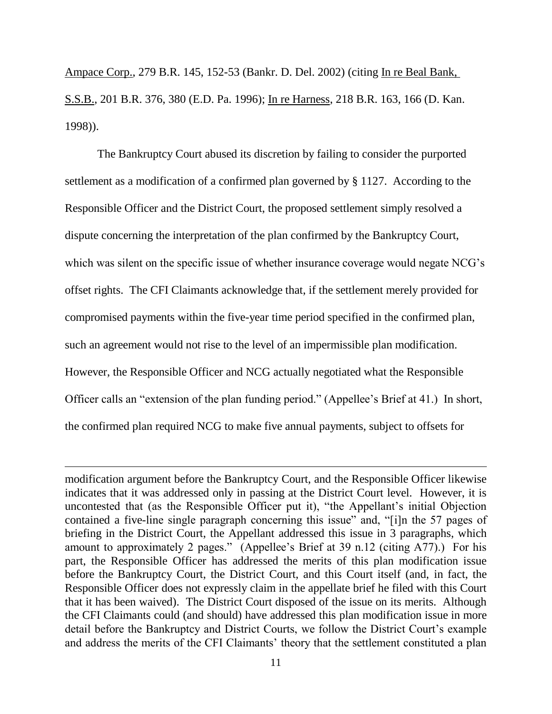Ampace Corp., 279 B.R. 145, 152-53 (Bankr. D. Del. 2002) (citing In re Beal Bank, S.S.B., 201 B.R. 376, 380 (E.D. Pa. 1996); In re Harness, 218 B.R. 163, 166 (D. Kan. 1998)).

The Bankruptcy Court abused its discretion by failing to consider the purported settlement as a modification of a confirmed plan governed by § 1127. According to the Responsible Officer and the District Court, the proposed settlement simply resolved a dispute concerning the interpretation of the plan confirmed by the Bankruptcy Court, which was silent on the specific issue of whether insurance coverage would negate NCG's offset rights. The CFI Claimants acknowledge that, if the settlement merely provided for compromised payments within the five-year time period specified in the confirmed plan, such an agreement would not rise to the level of an impermissible plan modification. However, the Responsible Officer and NCG actually negotiated what the Responsible Officer calls an "extension of the plan funding period." (Appellee's Brief at 41.) In short, the confirmed plan required NCG to make five annual payments, subject to offsets for

modification argument before the Bankruptcy Court, and the Responsible Officer likewise indicates that it was addressed only in passing at the District Court level. However, it is uncontested that (as the Responsible Officer put it), "the Appellant's initial Objection contained a five-line single paragraph concerning this issue" and, "[i]n the 57 pages of briefing in the District Court, the Appellant addressed this issue in 3 paragraphs, which amount to approximately 2 pages." (Appellee's Brief at 39 n.12 (citing A77).) For his part, the Responsible Officer has addressed the merits of this plan modification issue before the Bankruptcy Court, the District Court, and this Court itself (and, in fact, the Responsible Officer does not expressly claim in the appellate brief he filed with this Court that it has been waived). The District Court disposed of the issue on its merits. Although the CFI Claimants could (and should) have addressed this plan modification issue in more detail before the Bankruptcy and District Courts, we follow the District Court's example and address the merits of the CFI Claimants' theory that the settlement constituted a plan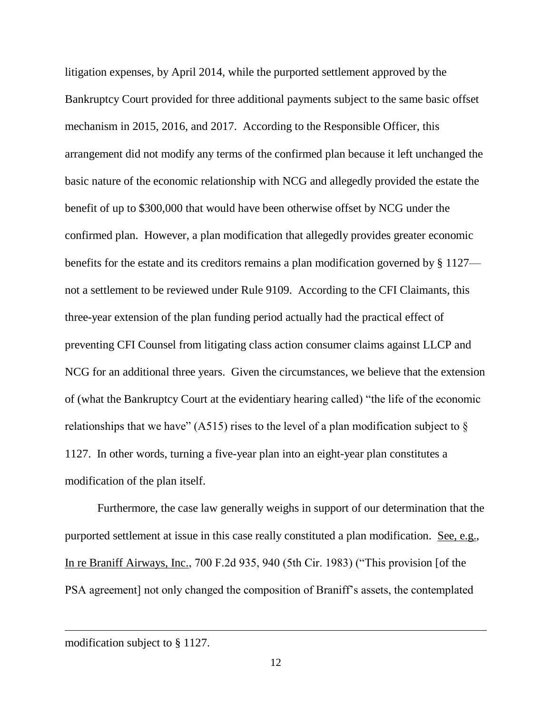litigation expenses, by April 2014, while the purported settlement approved by the Bankruptcy Court provided for three additional payments subject to the same basic offset mechanism in 2015, 2016, and 2017. According to the Responsible Officer, this arrangement did not modify any terms of the confirmed plan because it left unchanged the basic nature of the economic relationship with NCG and allegedly provided the estate the benefit of up to \$300,000 that would have been otherwise offset by NCG under the confirmed plan. However, a plan modification that allegedly provides greater economic benefits for the estate and its creditors remains a plan modification governed by § 1127 not a settlement to be reviewed under Rule 9109. According to the CFI Claimants, this three-year extension of the plan funding period actually had the practical effect of preventing CFI Counsel from litigating class action consumer claims against LLCP and NCG for an additional three years. Given the circumstances, we believe that the extension of (what the Bankruptcy Court at the evidentiary hearing called) "the life of the economic relationships that we have" (A515) rises to the level of a plan modification subject to  $\S$ 1127. In other words, turning a five-year plan into an eight-year plan constitutes a modification of the plan itself.

Furthermore, the case law generally weighs in support of our determination that the purported settlement at issue in this case really constituted a plan modification. See, e.g., In re Braniff Airways, Inc., 700 F.2d 935, 940 (5th Cir. 1983) ("This provision [of the PSA agreement] not only changed the composition of Braniff's assets, the contemplated

modification subject to § 1127.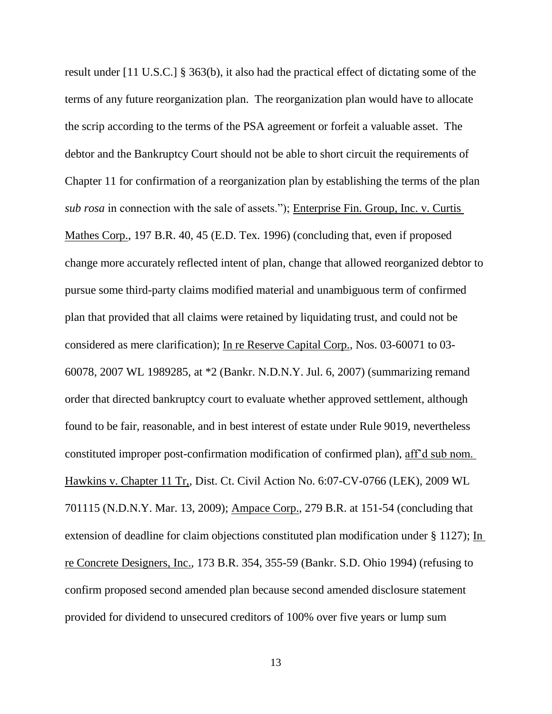result under [11 U.S.C.] § 363(b), it also had the practical effect of dictating some of the terms of any future reorganization plan. The reorganization plan would have to allocate the scrip according to the terms of the PSA agreement or forfeit a valuable asset. The debtor and the Bankruptcy Court should not be able to short circuit the requirements of Chapter 11 for confirmation of a reorganization plan by establishing the terms of the plan *sub rosa* in connection with the sale of assets."); Enterprise Fin. Group, Inc. v. Curtis Mathes Corp., 197 B.R. 40, 45 (E.D. Tex. 1996) (concluding that, even if proposed change more accurately reflected intent of plan, change that allowed reorganized debtor to pursue some third-party claims modified material and unambiguous term of confirmed plan that provided that all claims were retained by liquidating trust, and could not be considered as mere clarification); In re Reserve Capital Corp., Nos. 03-60071 to 03- 60078, 2007 WL 1989285, at \*2 (Bankr. N.D.N.Y. Jul. 6, 2007) (summarizing remand order that directed bankruptcy court to evaluate whether approved settlement, although found to be fair, reasonable, and in best interest of estate under Rule 9019, nevertheless constituted improper post-confirmation modification of confirmed plan), aff'd sub nom. Hawkins v. Chapter 11 Tr,, Dist. Ct. Civil Action No. 6:07-CV-0766 (LEK), 2009 WL 701115 (N.D.N.Y. Mar. 13, 2009); Ampace Corp., 279 B.R. at 151-54 (concluding that extension of deadline for claim objections constituted plan modification under § 1127); In re Concrete Designers, Inc., 173 B.R. 354, 355-59 (Bankr. S.D. Ohio 1994) (refusing to confirm proposed second amended plan because second amended disclosure statement provided for dividend to unsecured creditors of 100% over five years or lump sum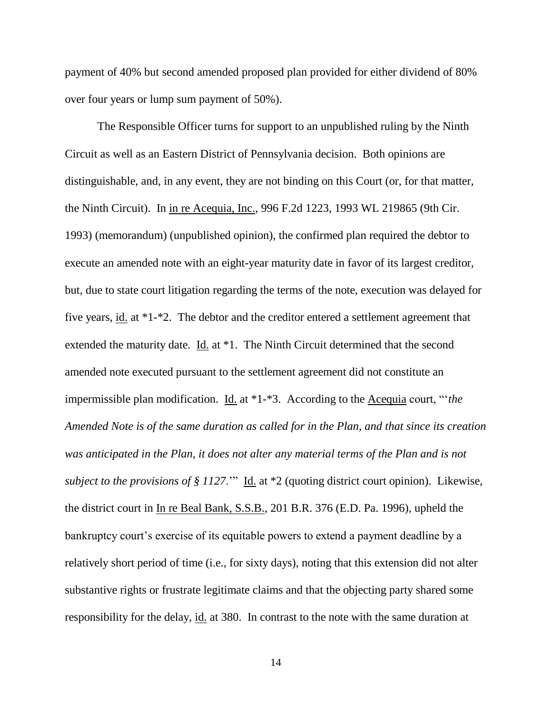payment of 40% but second amended proposed plan provided for either dividend of 80% over four years or lump sum payment of 50%).

The Responsible Officer turns for support to an unpublished ruling by the Ninth Circuit as well as an Eastern District of Pennsylvania decision. Both opinions are distinguishable, and, in any event, they are not binding on this Court (or, for that matter, the Ninth Circuit). In in re Acequia, Inc., 996 F.2d 1223, 1993 WL 219865 (9th Cir. 1993) (memorandum) (unpublished opinion), the confirmed plan required the debtor to execute an amended note with an eight-year maturity date in favor of its largest creditor, but, due to state court litigation regarding the terms of the note, execution was delayed for five years, id. at \*1-\*2. The debtor and the creditor entered a settlement agreement that extended the maturity date. Id. at \*1. The Ninth Circuit determined that the second amended note executed pursuant to the settlement agreement did not constitute an impermissible plan modification. Id. at \*1-\*3. According to the Acequia court, "'*the Amended Note is of the same duration as called for in the Plan, and that since its creation was anticipated in the Plan, it does not alter any material terms of the Plan and is not subject to the provisions of § 1127*.'" Id. at \*2 (quoting district court opinion). Likewise, the district court in In re Beal Bank, S.S.B., 201 B.R. 376 (E.D. Pa. 1996), upheld the bankruptcy court's exercise of its equitable powers to extend a payment deadline by a relatively short period of time (i.e., for sixty days), noting that this extension did not alter substantive rights or frustrate legitimate claims and that the objecting party shared some responsibility for the delay, id. at 380. In contrast to the note with the same duration at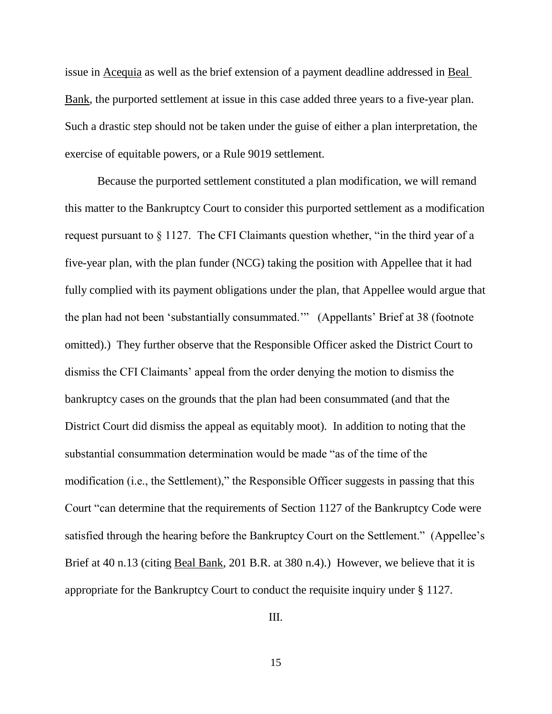issue in Acequia as well as the brief extension of a payment deadline addressed in Beal Bank, the purported settlement at issue in this case added three years to a five-year plan. Such a drastic step should not be taken under the guise of either a plan interpretation, the exercise of equitable powers, or a Rule 9019 settlement.

Because the purported settlement constituted a plan modification, we will remand this matter to the Bankruptcy Court to consider this purported settlement as a modification request pursuant to § 1127. The CFI Claimants question whether, "in the third year of a five-year plan, with the plan funder (NCG) taking the position with Appellee that it had fully complied with its payment obligations under the plan, that Appellee would argue that the plan had not been 'substantially consummated.'" (Appellants' Brief at 38 (footnote omitted).) They further observe that the Responsible Officer asked the District Court to dismiss the CFI Claimants' appeal from the order denying the motion to dismiss the bankruptcy cases on the grounds that the plan had been consummated (and that the District Court did dismiss the appeal as equitably moot). In addition to noting that the substantial consummation determination would be made "as of the time of the modification (i.e., the Settlement)," the Responsible Officer suggests in passing that this Court "can determine that the requirements of Section 1127 of the Bankruptcy Code were satisfied through the hearing before the Bankruptcy Court on the Settlement." (Appellee's Brief at 40 n.13 (citing Beal Bank, 201 B.R. at 380 n.4).) However, we believe that it is appropriate for the Bankruptcy Court to conduct the requisite inquiry under § 1127.

III.